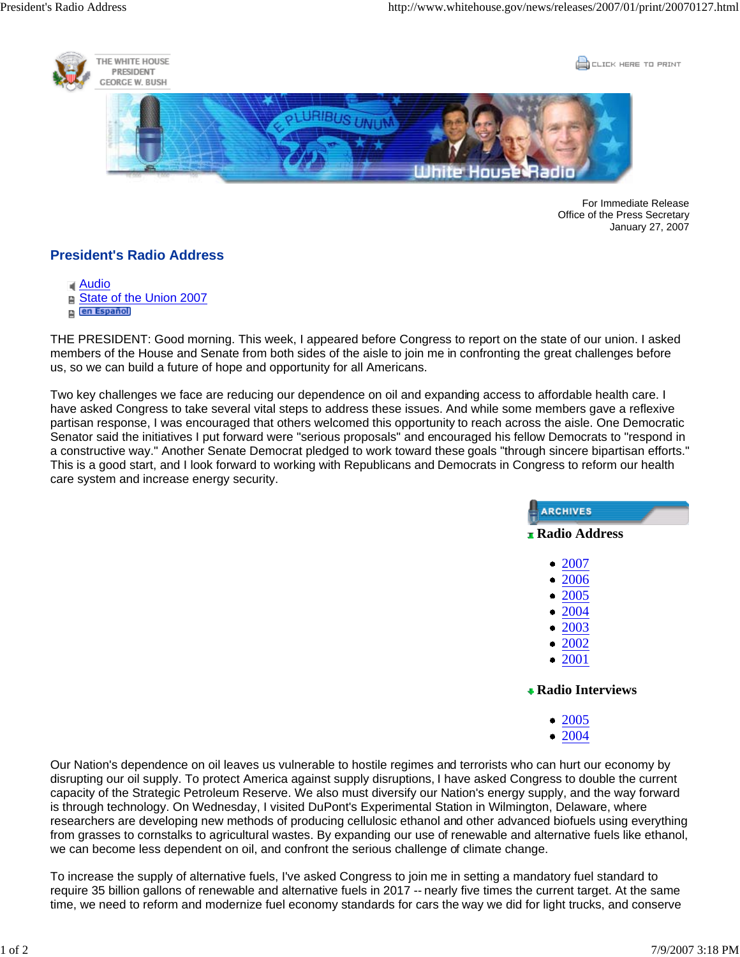

For Immediate Release Office of the Press Secretary January 27, 2007

## **President's Radio Address**

- Audio
- State of the Union 2007
- en Español

THE PRESIDENT: Good morning. This week, I appeared before Congress to report on the state of our union. I asked members of the House and Senate from both sides of the aisle to join me in confronting the great challenges before us, so we can build a future of hope and opportunity for all Americans.

Two key challenges we face are reducing our dependence on oil and expanding access to affordable health care. I have asked Congress to take several vital steps to address these issues. And while some members gave a reflexive partisan response, I was encouraged that others welcomed this opportunity to reach across the aisle. One Democratic Senator said the initiatives I put forward were "serious proposals" and encouraged his fellow Democrats to "respond in a constructive way." Another Senate Democrat pledged to work toward these goals "through sincere bipartisan efforts." This is a good start, and I look forward to working with Republicans and Democrats in Congress to reform our health care system and increase energy security.



Our Nation's dependence on oil leaves us vulnerable to hostile regimes and terrorists who can hurt our economy by disrupting our oil supply. To protect America against supply disruptions, I have asked Congress to double the current capacity of the Strategic Petroleum Reserve. We also must diversify our Nation's energy supply, and the way forward is through technology. On Wednesday, I visited DuPont's Experimental Station in Wilmington, Delaware, where researchers are developing new methods of producing cellulosic ethanol and other advanced biofuels using everything from grasses to cornstalks to agricultural wastes. By expanding our use of renewable and alternative fuels like ethanol, we can become less dependent on oil, and confront the serious challenge of climate change.

To increase the supply of alternative fuels, I've asked Congress to join me in setting a mandatory fuel standard to require 35 billion gallons of renewable and alternative fuels in 2017 -- nearly five times the current target. At the same time, we need to reform and modernize fuel economy standards for cars the way we did for light trucks, and conserve